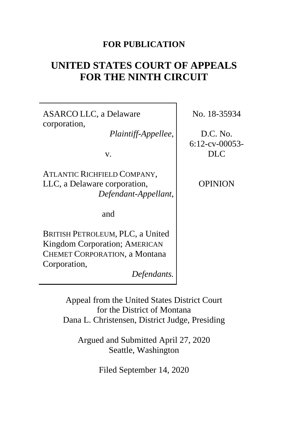### **FOR PUBLICATION**

# **UNITED STATES COURT OF APPEALS FOR THE NINTH CIRCUIT**

ASARCO LLC, a Delaware corporation,

*Plaintiff-Appellee*,

v.

ATLANTIC RICHFIELD COMPANY, LLC, a Delaware corporation, *Defendant-Appellant*,

and

BRITISH PETROLEUM, PLC, a United Kingdom Corporation; AMERICAN CHEMET CORPORATION, a Montana Corporation,

*Defendants.*

No. 18-35934

D.C. No. 6:12-cv-00053- DLC

OPINION

Appeal from the United States District Court for the District of Montana Dana L. Christensen, District Judge, Presiding

Argued and Submitted April 27, 2020 Seattle, Washington

Filed September 14, 2020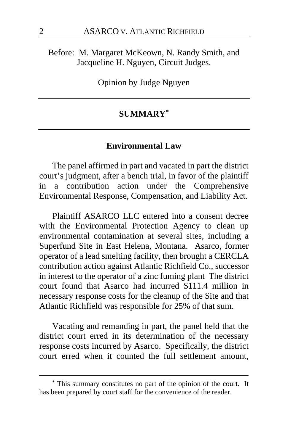Before: M. Margaret McKeown, N. Randy Smith, and Jacqueline H. Nguyen, Circuit Judges.

Opinion by Judge Nguyen

# **SUMMARY[\\*](#page-1-0)**

#### **Environmental Law**

The panel affirmed in part and vacated in part the district court's judgment, after a bench trial, in favor of the plaintiff in a contribution action under the Comprehensive Environmental Response, Compensation, and Liability Act.

Plaintiff ASARCO LLC entered into a consent decree with the Environmental Protection Agency to clean up environmental contamination at several sites, including a Superfund Site in East Helena, Montana. Asarco, former operator of a lead smelting facility, then brought a CERCLA contribution action against Atlantic Richfield Co., successor in interest to the operator of a zinc fuming plant The district court found that Asarco had incurred \$111.4 million in necessary response costs for the cleanup of the Site and that Atlantic Richfield was responsible for 25% of that sum.

Vacating and remanding in part, the panel held that the district court erred in its determination of the necessary response costs incurred by Asarco. Specifically, the district court erred when it counted the full settlement amount,

<span id="page-1-0"></span>**<sup>\*</sup>** This summary constitutes no part of the opinion of the court. It has been prepared by court staff for the convenience of the reader.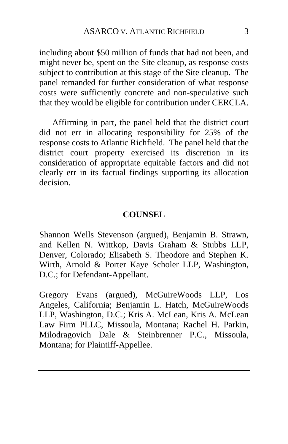including about \$50 million of funds that had not been, and might never be, spent on the Site cleanup, as response costs subject to contribution at this stage of the Site cleanup. The panel remanded for further consideration of what response costs were sufficiently concrete and non-speculative such that they would be eligible for contribution under CERCLA.

Affirming in part, the panel held that the district court did not err in allocating responsibility for 25% of the response costs to Atlantic Richfield. The panel held that the district court property exercised its discretion in its consideration of appropriate equitable factors and did not clearly err in its factual findings supporting its allocation decision.

#### **COUNSEL**

Shannon Wells Stevenson (argued), Benjamin B. Strawn, and Kellen N. Wittkop, Davis Graham & Stubbs LLP, Denver, Colorado; Elisabeth S. Theodore and Stephen K. Wirth, Arnold & Porter Kaye Scholer LLP, Washington, D.C.; for Defendant-Appellant.

Gregory Evans (argued), McGuireWoods LLP, Los Angeles, California; Benjamin L. Hatch, McGuireWoods LLP, Washington, D.C.; Kris A. McLean, Kris A. McLean Law Firm PLLC, Missoula, Montana; Rachel H. Parkin, Milodragovich Dale & Steinbrenner P.C., Missoula, Montana; for Plaintiff-Appellee.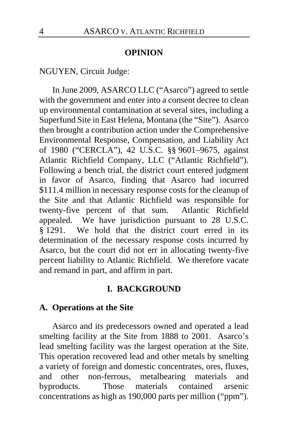#### **OPINION**

NGUYEN, Circuit Judge:

In June 2009, ASARCO LLC ("Asarco") agreed to settle with the government and enter into a consent decree to clean up environmental contamination at several sites, including a Superfund Site in East Helena, Montana (the "Site"). Asarco then brought a contribution action under the Comprehensive Environmental Response, Compensation, and Liability Act of 1980 ("CERCLA"), 42 U.S.C. §§ 9601–9675, against Atlantic Richfield Company, LLC ("Atlantic Richfield"). Following a bench trial, the district court entered judgment in favor of Asarco, finding that Asarco had incurred \$111.4 million in necessary response costs for the cleanup of the Site and that Atlantic Richfield was responsible for twenty-five percent of that sum. Atlantic Richfield appealed. We have jurisdiction pursuant to 28 U.S.C. § 1291. We hold that the district court erred in its determination of the necessary response costs incurred by Asarco, but the court did not err in allocating twenty-five percent liability to Atlantic Richfield. We therefore vacate and remand in part, and affirm in part.

#### **I. BACKGROUND**

#### **A. Operations at the Site**

Asarco and its predecessors owned and operated a lead smelting facility at the Site from 1888 to 2001. Asarco's lead smelting facility was the largest operation at the Site. This operation recovered lead and other metals by smelting a variety of foreign and domestic concentrates, ores, fluxes, and other non-ferrous, metalbearing materials and byproducts. Those materials contained arsenic concentrations as high as 190,000 parts per million ("ppm").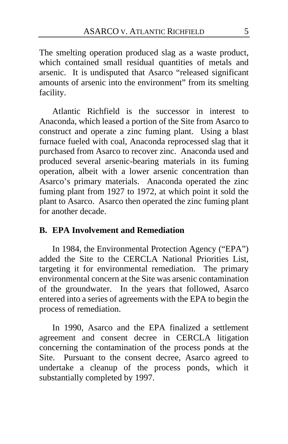The smelting operation produced slag as a waste product, which contained small residual quantities of metals and arsenic. It is undisputed that Asarco "released significant amounts of arsenic into the environment" from its smelting facility.

Atlantic Richfield is the successor in interest to Anaconda, which leased a portion of the Site from Asarco to construct and operate a zinc fuming plant. Using a blast furnace fueled with coal, Anaconda reprocessed slag that it purchased from Asarco to recover zinc. Anaconda used and produced several arsenic-bearing materials in its fuming operation, albeit with a lower arsenic concentration than Asarco's primary materials. Anaconda operated the zinc fuming plant from 1927 to 1972, at which point it sold the plant to Asarco. Asarco then operated the zinc fuming plant for another decade.

### **B. EPA Involvement and Remediation**

In 1984, the Environmental Protection Agency ("EPA") added the Site to the CERCLA National Priorities List, targeting it for environmental remediation. The primary environmental concern at the Site was arsenic contamination of the groundwater. In the years that followed, Asarco entered into a series of agreements with the EPA to begin the process of remediation.

In 1990, Asarco and the EPA finalized a settlement agreement and consent decree in CERCLA litigation concerning the contamination of the process ponds at the Site. Pursuant to the consent decree, Asarco agreed to undertake a cleanup of the process ponds, which it substantially completed by 1997.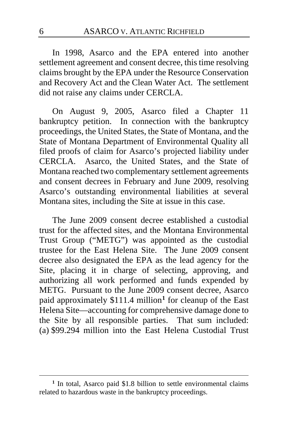In 1998, Asarco and the EPA entered into another settlement agreement and consent decree, this time resolving claims brought by the EPA under the Resource Conservation and Recovery Act and the Clean Water Act. The settlement did not raise any claims under CERCLA.

On August 9, 2005, Asarco filed a Chapter 11 bankruptcy petition. In connection with the bankruptcy proceedings, the United States, the State of Montana, and the State of Montana Department of Environmental Quality all filed proofs of claim for Asarco's projected liability under CERCLA. Asarco, the United States, and the State of Montana reached two complementary settlement agreements and consent decrees in February and June 2009, resolving Asarco's outstanding environmental liabilities at several Montana sites, including the Site at issue in this case.

The June 2009 consent decree established a custodial trust for the affected sites, and the Montana Environmental Trust Group ("METG") was appointed as the custodial trustee for the East Helena Site. The June 2009 consent decree also designated the EPA as the lead agency for the Site, placing it in charge of selecting, approving, and authorizing all work performed and funds expended by METG. Pursuant to the June 2009 consent decree, Asarco paid approximately \$111.4 million**[1](#page-5-0)** for cleanup of the East Helena Site—accounting for comprehensive damage done to the Site by all responsible parties. That sum included: (a) \$99.294 million into the East Helena Custodial Trust

<span id="page-5-0"></span><sup>&</sup>lt;sup>1</sup> In total, Asarco paid \$1.8 billion to settle environmental claims related to hazardous waste in the bankruptcy proceedings.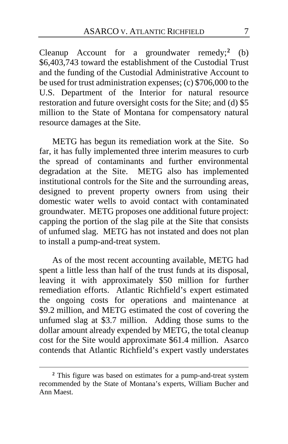Cleanup Account for a groundwater remedy;**[2](#page-6-0)** (b) \$6,403,743 toward the establishment of the Custodial Trust and the funding of the Custodial Administrative Account to be used for trust administration expenses; (c) \$706,000 to the U.S. Department of the Interior for natural resource restoration and future oversight costs for the Site; and (d) \$5 million to the State of Montana for compensatory natural resource damages at the Site.

METG has begun its remediation work at the Site. So far, it has fully implemented three interim measures to curb the spread of contaminants and further environmental degradation at the Site. METG also has implemented institutional controls for the Site and the surrounding areas, designed to prevent property owners from using their domestic water wells to avoid contact with contaminated groundwater. METG proposes one additional future project: capping the portion of the slag pile at the Site that consists of unfumed slag. METG has not instated and does not plan to install a pump-and-treat system.

As of the most recent accounting available, METG had spent a little less than half of the trust funds at its disposal, leaving it with approximately \$50 million for further remediation efforts. Atlantic Richfield's expert estimated the ongoing costs for operations and maintenance at \$9.2 million, and METG estimated the cost of covering the unfumed slag at \$3.7 million. Adding those sums to the dollar amount already expended by METG, the total cleanup cost for the Site would approximate \$61.4 million. Asarco contends that Atlantic Richfield's expert vastly understates

<span id="page-6-0"></span>**<sup>2</sup>** This figure was based on estimates for a pump-and-treat system recommended by the State of Montana's experts, William Bucher and Ann Maest.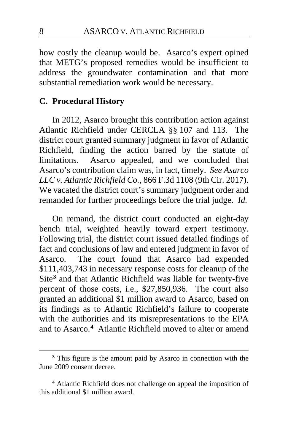how costly the cleanup would be. Asarco's expert opined that METG's proposed remedies would be insufficient to address the groundwater contamination and that more substantial remediation work would be necessary.

### **C. Procedural History**

In 2012, Asarco brought this contribution action against Atlantic Richfield under CERCLA §§ 107 and 113. The district court granted summary judgment in favor of Atlantic Richfield, finding the action barred by the statute of limitations. Asarco appealed, and we concluded that Asarco's contribution claim was, in fact, timely. *See Asarco LLC v. Atlantic Richfield Co.*, 866 F.3d 1108 (9th Cir. 2017). We vacated the district court's summary judgment order and remanded for further proceedings before the trial judge. *Id.*

On remand, the district court conducted an eight-day bench trial, weighted heavily toward expert testimony. Following trial, the district court issued detailed findings of fact and conclusions of law and entered judgment in favor of Asarco. The court found that Asarco had expended \$111,403,743 in necessary response costs for cleanup of the Site**[3](#page-7-0)** and that Atlantic Richfield was liable for twenty-five percent of those costs, i.e., \$27,850,936. The court also granted an additional \$1 million award to Asarco, based on its findings as to Atlantic Richfield's failure to cooperate with the authorities and its misrepresentations to the EPA and to Asarco.**[4](#page-7-1)** Atlantic Richfield moved to alter or amend

<span id="page-7-0"></span>**<sup>3</sup>** This figure is the amount paid by Asarco in connection with the June 2009 consent decree.

<span id="page-7-1"></span>**<sup>4</sup>** Atlantic Richfield does not challenge on appeal the imposition of this additional \$1 million award.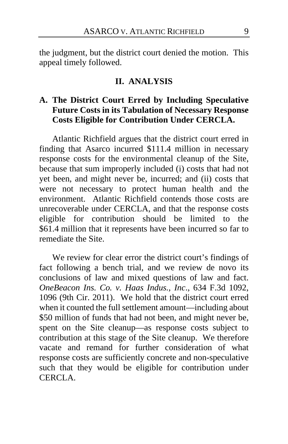the judgment, but the district court denied the motion. This appeal timely followed.

#### **II. ANALYSIS**

# **A. The District Court Erred by Including Speculative Future Costs in its Tabulation of Necessary Response Costs Eligible for Contribution Under CERCLA.**

Atlantic Richfield argues that the district court erred in finding that Asarco incurred \$111.4 million in necessary response costs for the environmental cleanup of the Site, because that sum improperly included (i) costs that had not yet been, and might never be, incurred; and (ii) costs that were not necessary to protect human health and the environment. Atlantic Richfield contends those costs are unrecoverable under CERCLA, and that the response costs eligible for contribution should be limited to the \$61.4 million that it represents have been incurred so far to remediate the Site.

We review for clear error the district court's findings of fact following a bench trial, and we review de novo its conclusions of law and mixed questions of law and fact. *OneBeacon Ins. Co. v. Haas Indus., Inc*., 634 F.3d 1092, 1096 (9th Cir. 2011). We hold that the district court erred when it counted the full settlement amount—including about \$50 million of funds that had not been, and might never be, spent on the Site cleanup—as response costs subject to contribution at this stage of the Site cleanup. We therefore vacate and remand for further consideration of what response costs are sufficiently concrete and non-speculative such that they would be eligible for contribution under CERCLA.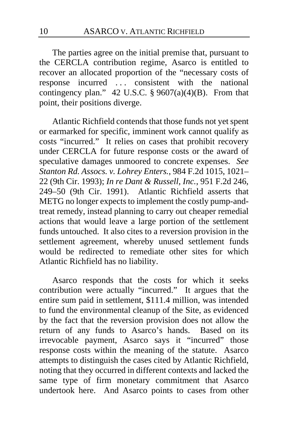The parties agree on the initial premise that, pursuant to the CERCLA contribution regime, Asarco is entitled to recover an allocated proportion of the "necessary costs of response incurred . . . consistent with the national contingency plan." 42 U.S.C.  $\S 9607(a)(4)(B)$ . From that point, their positions diverge.

Atlantic Richfield contends that those funds not yet spent or earmarked for specific, imminent work cannot qualify as costs "incurred." It relies on cases that prohibit recovery under CERCLA for future response costs or the award of speculative damages unmoored to concrete expenses. *See Stanton Rd. Assocs. v. Lohrey Enters.*, 984 F.2d 1015, 1021– 22 (9th Cir. 1993); *In re Dant & Russell, Inc.*, 951 F.2d 246, 249–50 (9th Cir. 1991). Atlantic Richfield asserts that METG no longer expects to implement the costly pump-andtreat remedy, instead planning to carry out cheaper remedial actions that would leave a large portion of the settlement funds untouched. It also cites to a reversion provision in the settlement agreement, whereby unused settlement funds would be redirected to remediate other sites for which Atlantic Richfield has no liability.

Asarco responds that the costs for which it seeks contribution were actually "incurred." It argues that the entire sum paid in settlement, \$111.4 million, was intended to fund the environmental cleanup of the Site, as evidenced by the fact that the reversion provision does not allow the return of any funds to Asarco's hands. Based on its irrevocable payment, Asarco says it "incurred" those response costs within the meaning of the statute. Asarco attempts to distinguish the cases cited by Atlantic Richfield, noting that they occurred in different contexts and lacked the same type of firm monetary commitment that Asarco undertook here. And Asarco points to cases from other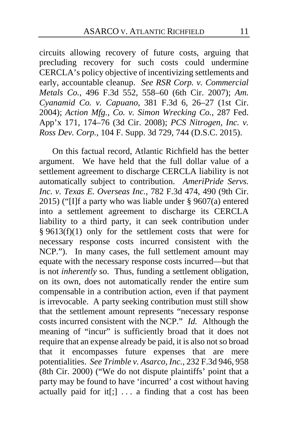circuits allowing recovery of future costs, arguing that precluding recovery for such costs could undermine CERCLA's policy objective of incentivizing settlements and early, accountable cleanup. *See RSR Corp. v. Commercial Metals Co.*, 496 F.3d 552, 558–60 (6th Cir. 2007); *Am. Cyanamid Co. v. Capuano*, 381 F.3d 6, 26–27 (1st Cir. 2004); *Action Mfg., Co. v. Simon Wrecking Co.*, 287 Fed. App'x 171, 174–76 (3d Cir. 2008); *PCS Nitrogen, Inc. v. Ross Dev. Corp.*, 104 F. Supp. 3d 729, 744 (D.S.C. 2015).

On this factual record, Atlantic Richfield has the better argument. We have held that the full dollar value of a settlement agreement to discharge CERCLA liability is not automatically subject to contribution. *AmeriPride Servs. Inc. v. Texas E. Overseas Inc.*, 782 F.3d 474, 490 (9th Cir. 2015) ("[I]f a party who was liable under § 9607(a) entered into a settlement agreement to discharge its CERCLA liability to a third party, it can seek contribution under § 9613(f)(1) only for the settlement costs that were for necessary response costs incurred consistent with the NCP."). In many cases, the full settlement amount may equate with the necessary response costs incurred—but that is not *inherently* so. Thus, funding a settlement obligation, on its own, does not automatically render the entire sum compensable in a contribution action, even if that payment is irrevocable. A party seeking contribution must still show that the settlement amount represents "necessary response costs incurred consistent with the NCP." *Id.* Although the meaning of "incur" is sufficiently broad that it does not require that an expense already be paid, it is also not so broad that it encompasses future expenses that are mere potentialities. *See Trimble v. Asarco, Inc.*, 232 F.3d 946, 958 (8th Cir. 2000) ("We do not dispute plaintiffs' point that a party may be found to have 'incurred' a cost without having actually paid for it<sup>[</sup>;]  $\ldots$  a finding that a cost has been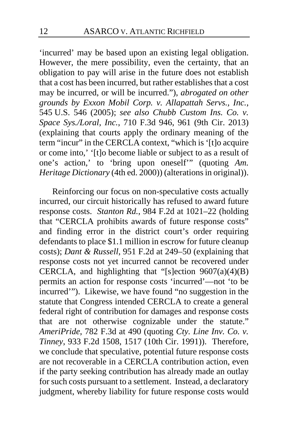'incurred' may be based upon an existing legal obligation. However, the mere possibility, even the certainty, that an obligation to pay will arise in the future does not establish that a cost has been incurred, but rather establishes that a cost may be incurred, or will be incurred."), *abrogated on other grounds by Exxon Mobil Corp. v. Allapattah Servs., Inc.*, 545 U.S. 546 (2005); *see also Chubb Custom Ins. Co. v. Space Sys./Loral, Inc.*, 710 F.3d 946, 961 (9th Cir. 2013) (explaining that courts apply the ordinary meaning of the term "incur" in the CERCLA context, "which is '[t]o acquire or come into,' '[t]o become liable or subject to as a result of one's action,' to 'bring upon oneself'" (quoting *Am. Heritage Dictionary* (4th ed. 2000)) (alterations in original)).

Reinforcing our focus on non-speculative costs actually incurred, our circuit historically has refused to award future response costs. *Stanton Rd.*, 984 F.2d at 1021–22 (holding that "CERCLA prohibits awards of future response costs" and finding error in the district court's order requiring defendants to place \$1.1 million in escrow for future cleanup costs); *Dant & Russell*, 951 F.2d at 249–50 (explaining that response costs not yet incurred cannot be recovered under CERCLA, and highlighting that "[s]ection 9607(a)(4)(B) permits an action for response costs 'incurred'—not 'to be incurred'"). Likewise, we have found "no suggestion in the statute that Congress intended CERCLA to create a general federal right of contribution for damages and response costs that are not otherwise cognizable under the statute." *AmeriPride*, 782 F.3d at 490 (quoting *Cty. Line Inv. Co. v. Tinney*, 933 F.2d 1508, 1517 (10th Cir. 1991)). Therefore, we conclude that speculative, potential future response costs are not recoverable in a CERCLA contribution action, even if the party seeking contribution has already made an outlay for such costs pursuant to a settlement. Instead, a declaratory judgment, whereby liability for future response costs would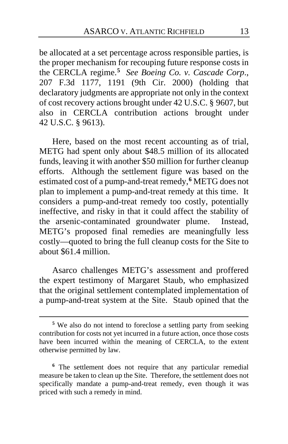be allocated at a set percentage across responsible parties, is the proper mechanism for recouping future response costs in the CERCLA regime.**[5](#page-12-0)** *See Boeing Co. v. Cascade Corp*., 207 F.3d 1177, 1191 (9th Cir. 2000) (holding that declaratory judgments are appropriate not only in the context of cost recovery actions brought under 42 U.S.C. § 9607, but also in CERCLA contribution actions brought under 42 U.S.C. § 9613).

Here, based on the most recent accounting as of trial, METG had spent only about \$48.5 million of its allocated funds, leaving it with another \$50 million for further cleanup efforts. Although the settlement figure was based on the estimated cost of a pump-and-treat remedy,**[6](#page-12-1)** METG does not plan to implement a pump-and-treat remedy at this time. It considers a pump-and-treat remedy too costly, potentially ineffective, and risky in that it could affect the stability of the arsenic-contaminated groundwater plume. Instead, METG's proposed final remedies are meaningfully less costly—quoted to bring the full cleanup costs for the Site to about \$61.4 million.

Asarco challenges METG's assessment and proffered the expert testimony of Margaret Staub, who emphasized that the original settlement contemplated implementation of a pump-and-treat system at the Site. Staub opined that the

<span id="page-12-0"></span>**<sup>5</sup>** We also do not intend to foreclose a settling party from seeking contribution for costs not yet incurred in a future action, once those costs have been incurred within the meaning of CERCLA, to the extent otherwise permitted by law.

<span id="page-12-1"></span>**<sup>6</sup>** The settlement does not require that any particular remedial measure be taken to clean up the Site. Therefore, the settlement does not specifically mandate a pump-and-treat remedy, even though it was priced with such a remedy in mind.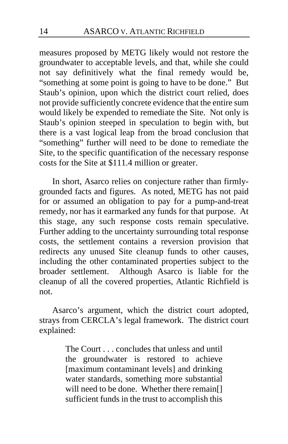measures proposed by METG likely would not restore the groundwater to acceptable levels, and that, while she could not say definitively what the final remedy would be, "something at some point is going to have to be done." But Staub's opinion, upon which the district court relied, does not provide sufficiently concrete evidence that the entire sum would likely be expended to remediate the Site. Not only is Staub's opinion steeped in speculation to begin with, but there is a vast logical leap from the broad conclusion that "something" further will need to be done to remediate the Site, to the specific quantification of the necessary response costs for the Site at \$111.4 million or greater.

In short, Asarco relies on conjecture rather than firmlygrounded facts and figures. As noted, METG has not paid for or assumed an obligation to pay for a pump-and-treat remedy, nor has it earmarked any funds for that purpose. At this stage, any such response costs remain speculative. Further adding to the uncertainty surrounding total response costs, the settlement contains a reversion provision that redirects any unused Site cleanup funds to other causes, including the other contaminated properties subject to the broader settlement. Although Asarco is liable for the cleanup of all the covered properties, Atlantic Richfield is not.

Asarco's argument, which the district court adopted, strays from CERCLA's legal framework. The district court explained:

> The Court . . . concludes that unless and until the groundwater is restored to achieve [maximum contaminant levels] and drinking water standards, something more substantial will need to be done. Whether there remain[] sufficient funds in the trust to accomplish this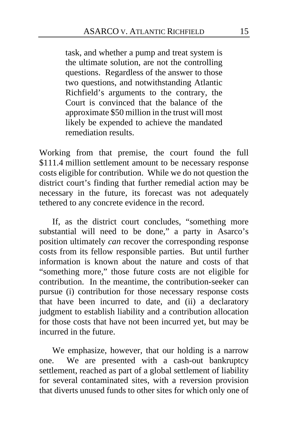task, and whether a pump and treat system is the ultimate solution, are not the controlling questions. Regardless of the answer to those two questions, and notwithstanding Atlantic Richfield's arguments to the contrary, the Court is convinced that the balance of the approximate \$50 million in the trust will most likely be expended to achieve the mandated remediation results.

Working from that premise, the court found the full \$111.4 million settlement amount to be necessary response costs eligible for contribution. While we do not question the district court's finding that further remedial action may be necessary in the future, its forecast was not adequately tethered to any concrete evidence in the record.

If, as the district court concludes, "something more substantial will need to be done," a party in Asarco's position ultimately *can* recover the corresponding response costs from its fellow responsible parties. But until further information is known about the nature and costs of that "something more," those future costs are not eligible for contribution. In the meantime, the contribution-seeker can pursue (i) contribution for those necessary response costs that have been incurred to date, and (ii) a declaratory judgment to establish liability and a contribution allocation for those costs that have not been incurred yet, but may be incurred in the future.

We emphasize, however, that our holding is a narrow one. We are presented with a cash-out bankruptcy settlement, reached as part of a global settlement of liability for several contaminated sites, with a reversion provision that diverts unused funds to other sites for which only one of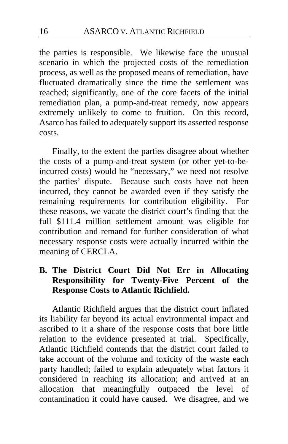the parties is responsible. We likewise face the unusual scenario in which the projected costs of the remediation process, as well as the proposed means of remediation, have fluctuated dramatically since the time the settlement was reached; significantly, one of the core facets of the initial remediation plan, a pump-and-treat remedy, now appears extremely unlikely to come to fruition. On this record, Asarco has failed to adequately support its asserted response costs.

Finally, to the extent the parties disagree about whether the costs of a pump-and-treat system (or other yet-to-beincurred costs) would be "necessary," we need not resolve the parties' dispute. Because such costs have not been incurred, they cannot be awarded even if they satisfy the remaining requirements for contribution eligibility. For these reasons, we vacate the district court's finding that the full \$111.4 million settlement amount was eligible for contribution and remand for further consideration of what necessary response costs were actually incurred within the meaning of CERCLA.

# **B. The District Court Did Not Err in Allocating Responsibility for Twenty-Five Percent of the Response Costs to Atlantic Richfield.**

Atlantic Richfield argues that the district court inflated its liability far beyond its actual environmental impact and ascribed to it a share of the response costs that bore little relation to the evidence presented at trial. Specifically, Atlantic Richfield contends that the district court failed to take account of the volume and toxicity of the waste each party handled; failed to explain adequately what factors it considered in reaching its allocation; and arrived at an allocation that meaningfully outpaced the level of contamination it could have caused. We disagree, and we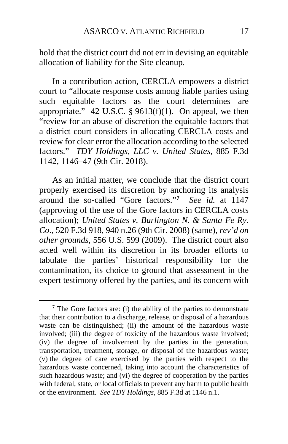hold that the district court did not err in devising an equitable allocation of liability for the Site cleanup.

In a contribution action, CERCLA empowers a district court to "allocate response costs among liable parties using such equitable factors as the court determines are appropriate." 42 U.S.C. §  $9613(f)(1)$ . On appeal, we then "review for an abuse of discretion the equitable factors that a district court considers in allocating CERCLA costs and review for clear error the allocation according to the selected factors." *TDY Holdings, LLC v. United States*, 885 F.3d 1142, 1146–47 (9th Cir. 2018).

As an initial matter, we conclude that the district court properly exercised its discretion by anchoring its analysis around the so-called "Gore factors."**[7](#page-16-0)** *See id.* at 1147 (approving of the use of the Gore factors in CERCLA costs allocation); *United States v. Burlington N. & Santa Fe Ry. Co*., 520 F.3d 918, 940 n.26 (9th Cir. 2008) (same), *rev'd on other grounds*, 556 U.S. 599 (2009). The district court also acted well within its discretion in its broader efforts to tabulate the parties' historical responsibility for the contamination, its choice to ground that assessment in the expert testimony offered by the parties, and its concern with

<span id="page-16-0"></span>**<sup>7</sup>** The Gore factors are: (i) the ability of the parties to demonstrate that their contribution to a discharge, release, or disposal of a hazardous waste can be distinguished; (ii) the amount of the hazardous waste involved; (iii) the degree of toxicity of the hazardous waste involved; (iv) the degree of involvement by the parties in the generation, transportation, treatment, storage, or disposal of the hazardous waste; (v) the degree of care exercised by the parties with respect to the hazardous waste concerned, taking into account the characteristics of such hazardous waste; and (vi) the degree of cooperation by the parties with federal, state, or local officials to prevent any harm to public health or the environment. *See TDY Holdings*, 885 F.3d at 1146 n.1.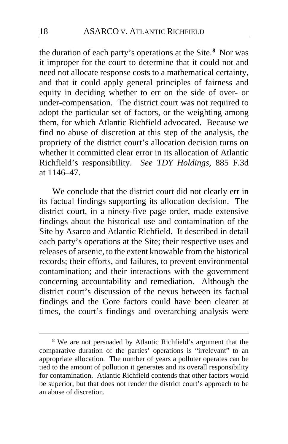the duration of each party's operations at the Site.**[8](#page-17-0)** Nor was it improper for the court to determine that it could not and need not allocate response costs to a mathematical certainty, and that it could apply general principles of fairness and equity in deciding whether to err on the side of over- or under-compensation. The district court was not required to adopt the particular set of factors, or the weighting among them, for which Atlantic Richfield advocated. Because we find no abuse of discretion at this step of the analysis, the propriety of the district court's allocation decision turns on whether it committed clear error in its allocation of Atlantic Richfield's responsibility. *See TDY Holdings*, 885 F.3d at 1146–47.

We conclude that the district court did not clearly err in its factual findings supporting its allocation decision. The district court, in a ninety-five page order, made extensive findings about the historical use and contamination of the Site by Asarco and Atlantic Richfield. It described in detail each party's operations at the Site; their respective uses and releases of arsenic, to the extent knowable from the historical records; their efforts, and failures, to prevent environmental contamination; and their interactions with the government concerning accountability and remediation. Although the district court's discussion of the nexus between its factual findings and the Gore factors could have been clearer at times, the court's findings and overarching analysis were

<span id="page-17-0"></span>**<sup>8</sup>** We are not persuaded by Atlantic Richfield's argument that the comparative duration of the parties' operations is "irrelevant" to an appropriate allocation. The number of years a polluter operates can be tied to the amount of pollution it generates and its overall responsibility for contamination. Atlantic Richfield contends that other factors would be superior, but that does not render the district court's approach to be an abuse of discretion.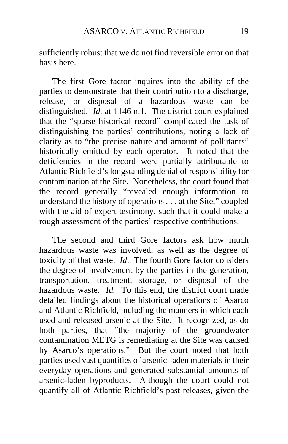sufficiently robust that we do not find reversible error on that basis here.

The first Gore factor inquires into the ability of the parties to demonstrate that their contribution to a discharge, release, or disposal of a hazardous waste can be distinguished. *Id.* at 1146 n.1. The district court explained that the "sparse historical record" complicated the task of distinguishing the parties' contributions, noting a lack of clarity as to "the precise nature and amount of pollutants" historically emitted by each operator. It noted that the deficiencies in the record were partially attributable to Atlantic Richfield's longstanding denial of responsibility for contamination at the Site. Nonetheless, the court found that the record generally "revealed enough information to understand the history of operations . . . at the Site," coupled with the aid of expert testimony, such that it could make a rough assessment of the parties' respective contributions.

The second and third Gore factors ask how much hazardous waste was involved, as well as the degree of toxicity of that waste. *Id*. The fourth Gore factor considers the degree of involvement by the parties in the generation, transportation, treatment, storage, or disposal of the hazardous waste. *Id.* To this end, the district court made detailed findings about the historical operations of Asarco and Atlantic Richfield, including the manners in which each used and released arsenic at the Site. It recognized, as do both parties, that "the majority of the groundwater contamination METG is remediating at the Site was caused by Asarco's operations." But the court noted that both parties used vast quantities of arsenic-laden materials in their everyday operations and generated substantial amounts of arsenic-laden byproducts. Although the court could not quantify all of Atlantic Richfield's past releases, given the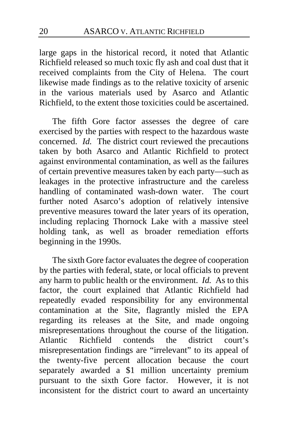large gaps in the historical record, it noted that Atlantic Richfield released so much toxic fly ash and coal dust that it received complaints from the City of Helena. The court likewise made findings as to the relative toxicity of arsenic in the various materials used by Asarco and Atlantic Richfield, to the extent those toxicities could be ascertained.

The fifth Gore factor assesses the degree of care exercised by the parties with respect to the hazardous waste concerned. *Id.* The district court reviewed the precautions taken by both Asarco and Atlantic Richfield to protect against environmental contamination, as well as the failures of certain preventive measures taken by each party—such as leakages in the protective infrastructure and the careless handling of contaminated wash-down water. The court further noted Asarco's adoption of relatively intensive preventive measures toward the later years of its operation, including replacing Thornock Lake with a massive steel holding tank, as well as broader remediation efforts beginning in the 1990s.

The sixth Gore factor evaluates the degree of cooperation by the parties with federal, state, or local officials to prevent any harm to public health or the environment. *Id.* As to this factor, the court explained that Atlantic Richfield had repeatedly evaded responsibility for any environmental contamination at the Site, flagrantly misled the EPA regarding its releases at the Site, and made ongoing misrepresentations throughout the course of the litigation.<br>Atlantic Richfield contends the district court's Atlantic Richfield contends the district court's misrepresentation findings are "irrelevant" to its appeal of the twenty-five percent allocation because the court separately awarded a \$1 million uncertainty premium pursuant to the sixth Gore factor. However, it is not inconsistent for the district court to award an uncertainty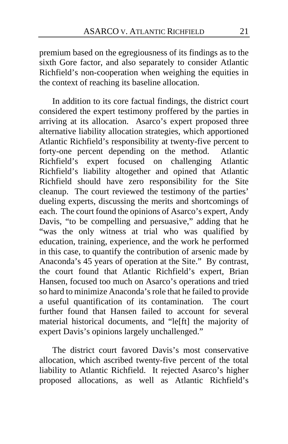premium based on the egregiousness of its findings as to the sixth Gore factor, and also separately to consider Atlantic Richfield's non-cooperation when weighing the equities in the context of reaching its baseline allocation.

In addition to its core factual findings, the district court considered the expert testimony proffered by the parties in arriving at its allocation. Asarco's expert proposed three alternative liability allocation strategies, which apportioned Atlantic Richfield's responsibility at twenty-five percent to forty-one percent depending on the method. Atlantic Richfield's expert focused on challenging Atlantic Richfield's liability altogether and opined that Atlantic Richfield should have zero responsibility for the Site cleanup. The court reviewed the testimony of the parties' dueling experts, discussing the merits and shortcomings of each. The court found the opinions of Asarco's expert, Andy Davis, "to be compelling and persuasive," adding that he "was the only witness at trial who was qualified by education, training, experience, and the work he performed in this case, to quantify the contribution of arsenic made by Anaconda's 45 years of operation at the Site." By contrast, the court found that Atlantic Richfield's expert, Brian Hansen, focused too much on Asarco's operations and tried so hard to minimize Anaconda's role that he failed to provide a useful quantification of its contamination. The court further found that Hansen failed to account for several material historical documents, and "le[ft] the majority of expert Davis's opinions largely unchallenged."

The district court favored Davis's most conservative allocation, which ascribed twenty-five percent of the total liability to Atlantic Richfield. It rejected Asarco's higher proposed allocations, as well as Atlantic Richfield's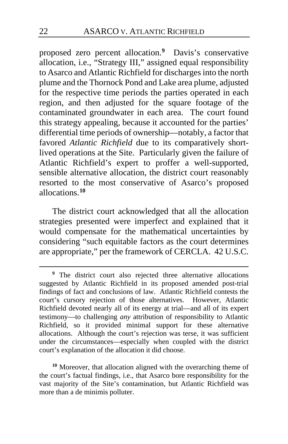proposed zero percent allocation.**[9](#page-21-0)** Davis's conservative allocation, i.e., "Strategy III," assigned equal responsibility to Asarco and Atlantic Richfield for discharges into the north plume and the Thornock Pond and Lake area plume, adjusted for the respective time periods the parties operated in each region, and then adjusted for the square footage of the contaminated groundwater in each area. The court found this strategy appealing, because it accounted for the parties' differential time periods of ownership—notably, a factor that favored *Atlantic Richfield* due to its comparatively shortlived operations at the Site. Particularly given the failure of Atlantic Richfield's expert to proffer a well-supported, sensible alternative allocation, the district court reasonably resorted to the most conservative of Asarco's proposed allocations.**[10](#page-21-1)**

The district court acknowledged that all the allocation strategies presented were imperfect and explained that it would compensate for the mathematical uncertainties by considering "such equitable factors as the court determines are appropriate," per the framework of CERCLA. 42 U.S.C.

<span id="page-21-1"></span>**<sup>10</sup>** Moreover, that allocation aligned with the overarching theme of the court's factual findings, i.e., that Asarco bore responsibility for the vast majority of the Site's contamination, but Atlantic Richfield was more than a de minimis polluter.

<span id="page-21-0"></span>**<sup>9</sup>** The district court also rejected three alternative allocations suggested by Atlantic Richfield in its proposed amended post-trial findings of fact and conclusions of law. Atlantic Richfield contests the court's cursory rejection of those alternatives. However, Atlantic Richfield devoted nearly all of its energy at trial—and all of its expert testimony—to challenging *any* attribution of responsibility to Atlantic Richfield, so it provided minimal support for these alternative allocations. Although the court's rejection was terse, it was sufficient under the circumstances—especially when coupled with the district court's explanation of the allocation it did choose.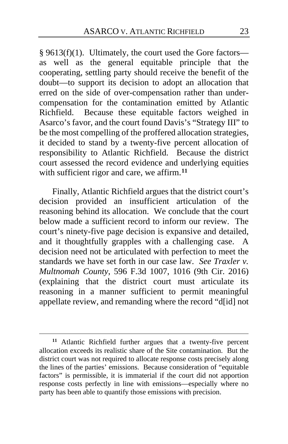§ 9613(f)(1). Ultimately, the court used the Gore factors as well as the general equitable principle that the cooperating, settling party should receive the benefit of the doubt—to support its decision to adopt an allocation that erred on the side of over-compensation rather than undercompensation for the contamination emitted by Atlantic Richfield. Because these equitable factors weighed in Asarco's favor, and the court found Davis's "Strategy III" to be the most compelling of the proffered allocation strategies, it decided to stand by a twenty-five percent allocation of responsibility to Atlantic Richfield. Because the district court assessed the record evidence and underlying equities with sufficient rigor and care, we affirm.**[11](#page-22-0)**

Finally, Atlantic Richfield argues that the district court's decision provided an insufficient articulation of the reasoning behind its allocation. We conclude that the court below made a sufficient record to inform our review. The court's ninety-five page decision is expansive and detailed, and it thoughtfully grapples with a challenging case. A decision need not be articulated with perfection to meet the standards we have set forth in our case law. *See Traxler v. Multnomah County*, 596 F.3d 1007, 1016 (9th Cir. 2016) (explaining that the district court must articulate its reasoning in a manner sufficient to permit meaningful appellate review, and remanding where the record "d[id] not

<span id="page-22-0"></span>**<sup>11</sup>** Atlantic Richfield further argues that a twenty-five percent allocation exceeds its realistic share of the Site contamination. But the district court was not required to allocate response costs precisely along the lines of the parties' emissions. Because consideration of "equitable factors" is permissible, it is immaterial if the court did not apportion response costs perfectly in line with emissions—especially where no party has been able to quantify those emissions with precision.